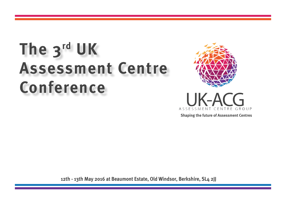# **The 3rd UK Assessment Centre Conference**





**Shaping the future of Assessment Centres**

**12th - 13th May 2016 at Beaumont Estate, Old Windsor, Berkshire, SL4 2JJ**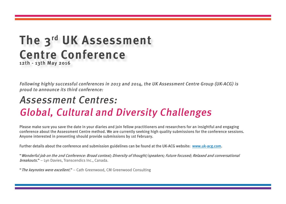### **The 3rd UK Assessment Centre Conference 12th - 13th May 2016**

Following highly successful conferences in 2013 and 2014, the UK Assessment Centre Group (UK-ACG) is proud to announce its third conference:

## Assessment Centres: Global, Cultural and Diversity Challenges

Please make sure you save the date in your diaries and join fellow practitioners and researchers for an insightful and engaging conference about the Assessment Centre method. We are currently seeking high quality submissions for the conference sessions. Anyone interested in presenting should provide submissions by 1st February.

Further details about the conference and submission guidelines can be found at the UK-ACG website: [www.uk-acg.com](http://www.uk-acg.com).

"Wonderful job on the 2nd Conference: Broad context; Diversity of thought/speakers; Future focused; Relaxed and conversational breakouts." - Lyn Davies, Transcendics Inc., Canada.

"The keynotes were excellent." - Cath Greenwood, CM Greenwood Consulting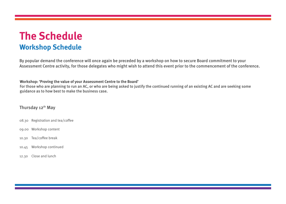### **The Schedule Workshop Schedule**

By popular demand the conference will once again be preceded by a workshop on how to secure Board commitment to your Assessment Centre activity, for those delegates who might wish to attend this event prior to the commencement of the conference.

**Workshop: 'Proving the value of your Assessment Centre to the Board'** 

For those who are planning to run an AC, or who are being asked to justify the continued running of an existing AC and are seeking some guidance as to how best to make the business case.

#### Thursday 12<sup>th</sup> May

- 08.30 Registration and tea/coffee
- 09.00 Workshop content
- 10.30 Tea/coffee break
- 10.45 Workshop continued
- 12.30 Close and lunch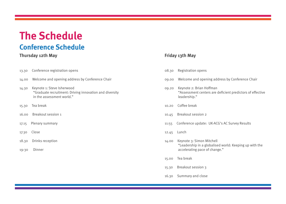### **The Schedule Conference Schedule**

#### **Thursday 12th May Thursday 12th May Friday 13th May**

- 13.30 Conference registration opens
- 14.00 Welcome and opening address by Conference Chair
- 14.30 Keynote 1: Steve Isherwood "Graduate recruitment: Driving innovation and diversity in the assessment world."
- 15.30 Tea break
- 16.00 Breakout session 1
- 17.15 Plenary summary
- 17.30 Close
- 18.30 Drinks reception
- 19:30 Dinner

- 08.30 Registration opens
- 09.00 Welcome and opening address by Conference Chair
- 09.20 Keynote 2: Brian Hoffman "Assessment centers are deficient predictors of effective leadership."
- 10.20 Coffee break
- 10.45 Breakout session 2
- 11:55 Conference update: UK-ACG's AC Survey Results
- 12.45 Lunch
- 14.00 Keynote 3: Simon Mitchell "Leadership in a globalised world: Keeping up with the accelerating pace of change."
- 15.00 Tea break
- 15.30 Breakout session 3
- 16.30 Summary and close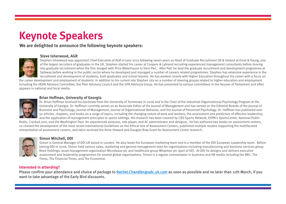## **Keynote Speakers**

#### **We are delighted to announce the following keynote speakers:**

#### **Steve Isherwood, AGR**



Stephen Isherwood was appointed Chief Executive of AGR in June 2013 following seven years as Head of Graduate Recruitment UK & Ireland at Ernst & Young, one of the largest recruiters of graduates in the UK. Stephen started his career at Coopers & Lybrand recruiting experienced management consultants before moving into graduate recruitment when the firm merged with Price Waterhouse to form PwC. After PwC he lead the graduate recruitment and development programme at Safeway before working in the public sector where he developed and managed a number of careers related programmes. Stephen has extensive experience in the recruitment and development of students, both graduates and school leavers. He has worked closely with Higher Education throughout his career with a focus on

the career development and employment of students. In addition to his current role Stephen sits on a number of steering groups related to higher education and employment including the HEAR Advisory Committee, the Plotr Advisory Council and the GPA Advisory Group. He has presented to various committees in the Houses of Parliament and often appears in national and local media.

#### **Brian Hoffman, University of Georgia**



Dr. Brian Hoffman received his doctorate from the University of Tennessee in 2006 and is the Chair of the Industrial-Organizational Psychology Program at the University of Georgia. Dr. Hoffman currently serves as an Associate Editor of the Journal of Management and has served on the Editorial Boards of the Journal of Business and Psychology, Journal of Management, Journal of Organizational Behavior, and the Journal of Personnel Psychology. Dr. Hoffman has published over 50 articles, chapters, and books on a range of topics, including the changing nature of work and workers, the assessment and prediction of effective leadership, and the application of management principles to sports settings. His research has been covered by CBS Sports Network, ESPN's SportsCenter, National Public

Radio, Cracked.com, and the Washington Post. An experienced assessor, role player, and AC administrator and designer, he has authored two books on assessment centers, co-chaired the development of the most recent International Guidelines on the Ethical Use of Assessment Centers, published multiple studies supporting the multifaceted interpretation of assessment centers, and twice received the Anne Howard and Douglas Bray Grant for Assessment Center research.



#### **Simon Mitchell, DDI**

Simon is General Manager of DDI UK based in London. He also leads the European marketing team and is a member of the DDI European Leadership team. Before joining DDI in 2006, Simon held various sales, marketing and general management roles for organisations including manufacturing and business services group Reed Holdings, asset management organisation Microlease plc and healthcare group Whatman plc (part of GE). At DDI he designs and delivers executive assessment and leadership programmes for several global organisations. Simon is a regular commentator in business and HR media including the BBC, The Times, The Financial Times, and The Economist.

#### **Interested in attending?**

Please confirm your attendance and choice of package to [Rachel.Chandler@adc.uk.com](mailto:%20Rachel.Chandler%40adc.uk.com?subject=UK-ACG%20Assessment%20Centre%20Conference%202016%20%20) as soon as possible and no later than 11th March, if you want to take advantage of the Early Bird discounts.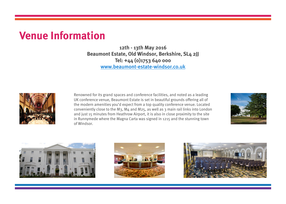### **Venue Information**

**12th - 13th May 2016 Beaumont Estate, Old Windsor, Berkshire, SL4 2JJ Tel: +44 (0)1753 640 000** [www.beaumont-estate-windsor.co.uk](http://www.beaumont-estate-windsor.co.uk)



Renowned for its grand spaces and conference facilities, and noted as a leading UK conference venue, Beaumont Estate is set in beautiful grounds offering all of the modern amenities you'd expect from a top quality conference venue. Located conveniently close to the M3, M4 and M25, as well as 3 main rail links into London and just 15 minutes from Heathrow Airport, it is also in close proximity to the site in Runnymede where the Magna Carta was signed in 1215 and the stunning town of Windsor.







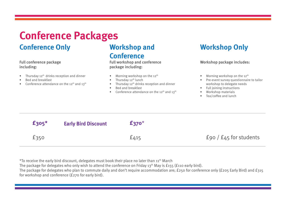## **Conference Packages**

### **Conference Only <b>Workshop and**

#### Full conference package including:

- Thursday  $12<sup>th</sup>$  drinks reception and dinner
- Bed and breakfast
- Conference attendance on the 12<sup>th</sup> and 13<sup>th</sup>

# **Conference**

Full workshop and conference package including:

- Morning workshop on the  $12<sup>th</sup>$
- Thursday  $12<sup>th</sup>$  lunch
- Thursday  $12<sup>th</sup>$  drinks reception and dinner
- Bed and breakfast
- Conference attendance on the 12<sup>th</sup> and 13<sup>th</sup>

### **Workshop Only**

Workshop package includes:

- Morning workshop on the  $12<sup>th</sup>$
- Pre-event survey questionnaire to tailor workshop to delegate needs
- Full joining instructions
- Workshop materials
- Tea/coffee and lunch

| $\texttt{f305}^{\star}$ | <b>Early Bird Discount</b> | $£370*$   |                             |
|-------------------------|----------------------------|-----------|-----------------------------|
| £350                    |                            | $E_{415}$ | £90 / $E_{45}$ for students |

\*To receive the early bird discount, delegates must book their place no later than 11<sup>th</sup> March

The package for delegates who only wish to attend the conference on Friday 13<sup>th</sup> May is £155 (£110 early bird).

The package for delegates who plan to commute daily and don't require accommodation are; £250 for conference only (£205 Early Bird) and £315 for workshop and conference (£270 for early bird).